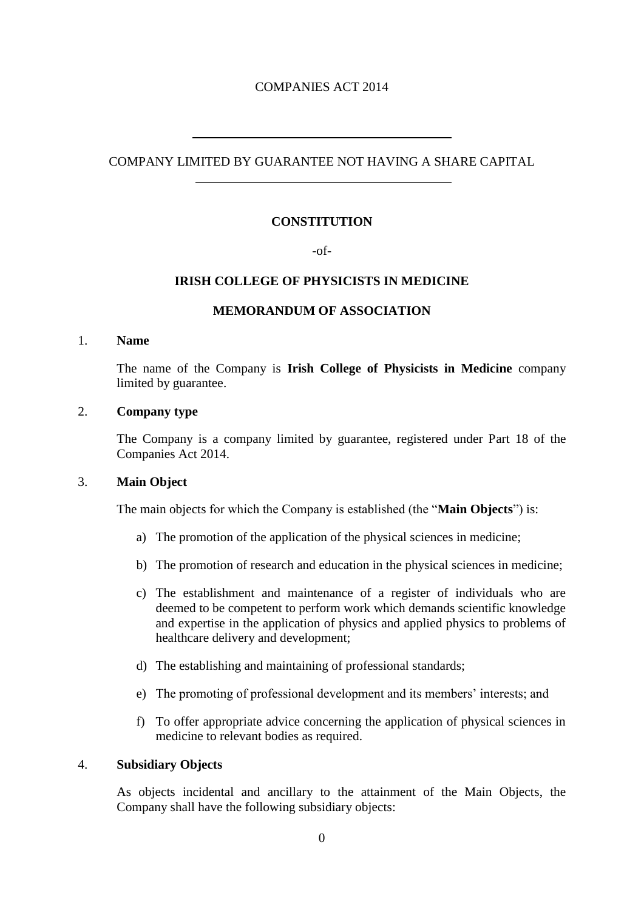# COMPANIES ACT 2014

# COMPANY LIMITED BY GUARANTEE NOT HAVING A SHARE CAPITAL

# **CONSTITUTION**

### -of-

# **IRISH COLLEGE OF PHYSICISTS IN MEDICINE**

## **MEMORANDUM OF ASSOCIATION**

### 1. **Name**

The name of the Company is **Irish College of Physicists in Medicine** company limited by guarantee.

### 2. **Company type**

 $\overline{a}$ 

 $\overline{a}$ 

The Company is a company limited by guarantee, registered under Part 18 of the Companies Act 2014.

# 3. **Main Object**

The main objects for which the Company is established (the "**Main Objects**") is:

- a) The promotion of the application of the physical sciences in medicine;
- b) The promotion of research and education in the physical sciences in medicine;
- c) The establishment and maintenance of a register of individuals who are deemed to be competent to perform work which demands scientific knowledge and expertise in the application of physics and applied physics to problems of healthcare delivery and development;
- d) The establishing and maintaining of professional standards;
- e) The promoting of professional development and its members' interests; and
- f) To offer appropriate advice concerning the application of physical sciences in medicine to relevant bodies as required.

#### 4. **Subsidiary Objects**

As objects incidental and ancillary to the attainment of the Main Objects, the Company shall have the following subsidiary objects: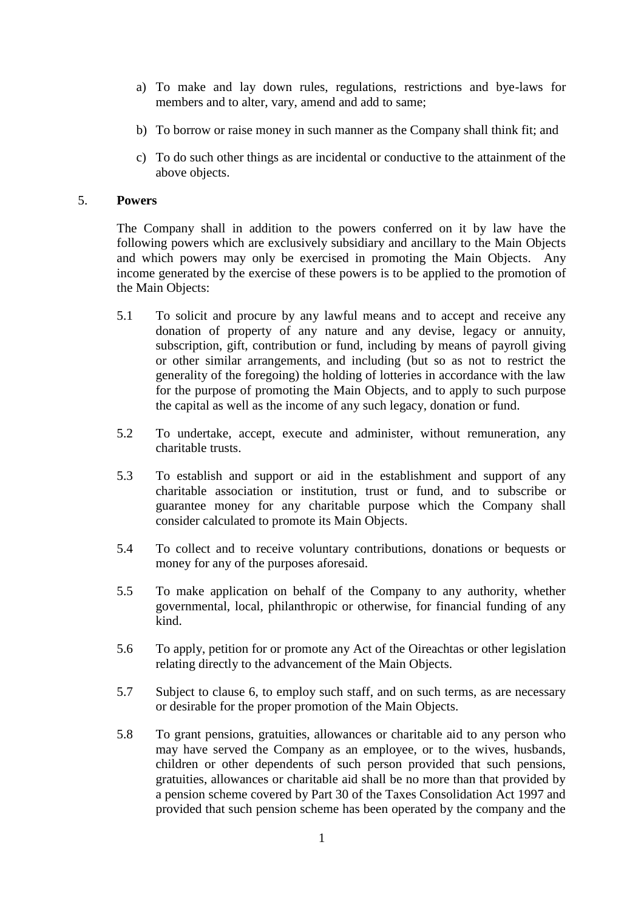- a) To make and lay down rules, regulations, restrictions and bye-laws for members and to alter, vary, amend and add to same;
- b) To borrow or raise money in such manner as the Company shall think fit; and
- c) To do such other things as are incidental or conductive to the attainment of the above objects.

#### 5. **Powers**

The Company shall in addition to the powers conferred on it by law have the following powers which are exclusively subsidiary and ancillary to the Main Objects and which powers may only be exercised in promoting the Main Objects. Any income generated by the exercise of these powers is to be applied to the promotion of the Main Objects:

- 5.1 To solicit and procure by any lawful means and to accept and receive any donation of property of any nature and any devise, legacy or annuity, subscription, gift, contribution or fund, including by means of payroll giving or other similar arrangements, and including (but so as not to restrict the generality of the foregoing) the holding of lotteries in accordance with the law for the purpose of promoting the Main Objects, and to apply to such purpose the capital as well as the income of any such legacy, donation or fund.
- 5.2 To undertake, accept, execute and administer, without remuneration, any charitable trusts.
- 5.3 To establish and support or aid in the establishment and support of any charitable association or institution, trust or fund, and to subscribe or guarantee money for any charitable purpose which the Company shall consider calculated to promote its Main Objects.
- 5.4 To collect and to receive voluntary contributions, donations or bequests or money for any of the purposes aforesaid.
- 5.5 To make application on behalf of the Company to any authority, whether governmental, local, philanthropic or otherwise, for financial funding of any kind.
- 5.6 To apply, petition for or promote any Act of the Oireachtas or other legislation relating directly to the advancement of the Main Objects.
- 5.7 Subject to clause 6, to employ such staff, and on such terms, as are necessary or desirable for the proper promotion of the Main Objects.
- 5.8 To grant pensions, gratuities, allowances or charitable aid to any person who may have served the Company as an employee, or to the wives, husbands, children or other dependents of such person provided that such pensions, gratuities, allowances or charitable aid shall be no more than that provided by a pension scheme covered by Part 30 of the Taxes Consolidation Act 1997 and provided that such pension scheme has been operated by the company and the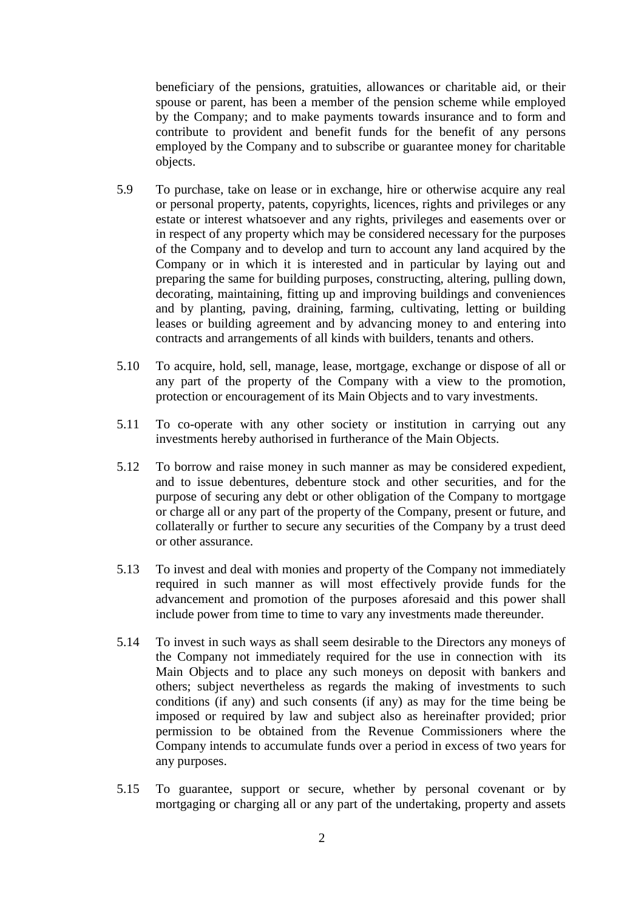beneficiary of the pensions, gratuities, allowances or charitable aid, or their spouse or parent, has been a member of the pension scheme while employed by the Company; and to make payments towards insurance and to form and contribute to provident and benefit funds for the benefit of any persons employed by the Company and to subscribe or guarantee money for charitable objects.

- 5.9 To purchase, take on lease or in exchange, hire or otherwise acquire any real or personal property, patents, copyrights, licences, rights and privileges or any estate or interest whatsoever and any rights, privileges and easements over or in respect of any property which may be considered necessary for the purposes of the Company and to develop and turn to account any land acquired by the Company or in which it is interested and in particular by laying out and preparing the same for building purposes, constructing, altering, pulling down, decorating, maintaining, fitting up and improving buildings and conveniences and by planting, paving, draining, farming, cultivating, letting or building leases or building agreement and by advancing money to and entering into contracts and arrangements of all kinds with builders, tenants and others.
- 5.10 To acquire, hold, sell, manage, lease, mortgage, exchange or dispose of all or any part of the property of the Company with a view to the promotion, protection or encouragement of its Main Objects and to vary investments.
- 5.11 To co-operate with any other society or institution in carrying out any investments hereby authorised in furtherance of the Main Objects.
- 5.12 To borrow and raise money in such manner as may be considered expedient, and to issue debentures, debenture stock and other securities, and for the purpose of securing any debt or other obligation of the Company to mortgage or charge all or any part of the property of the Company, present or future, and collaterally or further to secure any securities of the Company by a trust deed or other assurance.
- 5.13 To invest and deal with monies and property of the Company not immediately required in such manner as will most effectively provide funds for the advancement and promotion of the purposes aforesaid and this power shall include power from time to time to vary any investments made thereunder.
- 5.14 To invest in such ways as shall seem desirable to the Directors any moneys of the Company not immediately required for the use in connection with its Main Objects and to place any such moneys on deposit with bankers and others; subject nevertheless as regards the making of investments to such conditions (if any) and such consents (if any) as may for the time being be imposed or required by law and subject also as hereinafter provided; prior permission to be obtained from the Revenue Commissioners where the Company intends to accumulate funds over a period in excess of two years for any purposes.
- 5.15 To guarantee, support or secure, whether by personal covenant or by mortgaging or charging all or any part of the undertaking, property and assets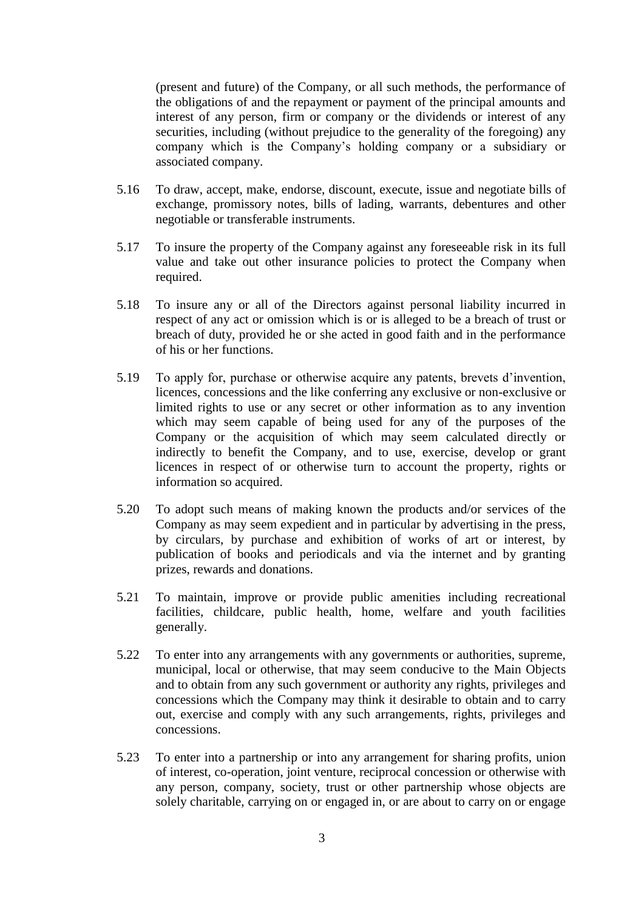(present and future) of the Company, or all such methods, the performance of the obligations of and the repayment or payment of the principal amounts and interest of any person, firm or company or the dividends or interest of any securities, including (without prejudice to the generality of the foregoing) any company which is the Company's holding company or a subsidiary or associated company.

- 5.16 To draw, accept, make, endorse, discount, execute, issue and negotiate bills of exchange, promissory notes, bills of lading, warrants, debentures and other negotiable or transferable instruments.
- 5.17 To insure the property of the Company against any foreseeable risk in its full value and take out other insurance policies to protect the Company when required.
- 5.18 To insure any or all of the Directors against personal liability incurred in respect of any act or omission which is or is alleged to be a breach of trust or breach of duty, provided he or she acted in good faith and in the performance of his or her functions.
- 5.19 To apply for, purchase or otherwise acquire any patents, brevets d'invention, licences, concessions and the like conferring any exclusive or non-exclusive or limited rights to use or any secret or other information as to any invention which may seem capable of being used for any of the purposes of the Company or the acquisition of which may seem calculated directly or indirectly to benefit the Company, and to use, exercise, develop or grant licences in respect of or otherwise turn to account the property, rights or information so acquired.
- 5.20 To adopt such means of making known the products and/or services of the Company as may seem expedient and in particular by advertising in the press, by circulars, by purchase and exhibition of works of art or interest, by publication of books and periodicals and via the internet and by granting prizes, rewards and donations.
- 5.21 To maintain, improve or provide public amenities including recreational facilities, childcare, public health, home, welfare and youth facilities generally.
- 5.22 To enter into any arrangements with any governments or authorities, supreme, municipal, local or otherwise, that may seem conducive to the Main Objects and to obtain from any such government or authority any rights, privileges and concessions which the Company may think it desirable to obtain and to carry out, exercise and comply with any such arrangements, rights, privileges and concessions.
- 5.23 To enter into a partnership or into any arrangement for sharing profits, union of interest, co-operation, joint venture, reciprocal concession or otherwise with any person, company, society, trust or other partnership whose objects are solely charitable, carrying on or engaged in, or are about to carry on or engage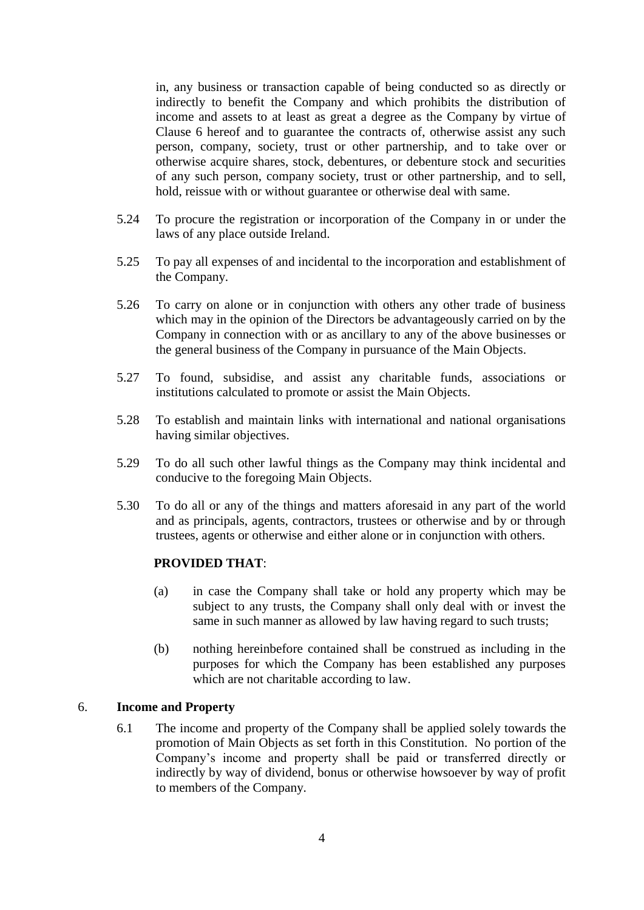in, any business or transaction capable of being conducted so as directly or indirectly to benefit the Company and which prohibits the distribution of income and assets to at least as great a degree as the Company by virtue of Clause 6 hereof and to guarantee the contracts of, otherwise assist any such person, company, society, trust or other partnership, and to take over or otherwise acquire shares, stock, debentures, or debenture stock and securities of any such person, company society, trust or other partnership, and to sell, hold, reissue with or without guarantee or otherwise deal with same.

- 5.24 To procure the registration or incorporation of the Company in or under the laws of any place outside Ireland.
- 5.25 To pay all expenses of and incidental to the incorporation and establishment of the Company.
- 5.26 To carry on alone or in conjunction with others any other trade of business which may in the opinion of the Directors be advantageously carried on by the Company in connection with or as ancillary to any of the above businesses or the general business of the Company in pursuance of the Main Objects.
- 5.27 To found, subsidise, and assist any charitable funds, associations or institutions calculated to promote or assist the Main Objects.
- 5.28 To establish and maintain links with international and national organisations having similar objectives.
- 5.29 To do all such other lawful things as the Company may think incidental and conducive to the foregoing Main Objects.
- 5.30 To do all or any of the things and matters aforesaid in any part of the world and as principals, agents, contractors, trustees or otherwise and by or through trustees, agents or otherwise and either alone or in conjunction with others.

### **PROVIDED THAT**:

- (a) in case the Company shall take or hold any property which may be subject to any trusts, the Company shall only deal with or invest the same in such manner as allowed by law having regard to such trusts;
- (b) nothing hereinbefore contained shall be construed as including in the purposes for which the Company has been established any purposes which are not charitable according to law.

#### 6. **Income and Property**

6.1 The income and property of the Company shall be applied solely towards the promotion of Main Objects as set forth in this Constitution. No portion of the Company's income and property shall be paid or transferred directly or indirectly by way of dividend, bonus or otherwise howsoever by way of profit to members of the Company.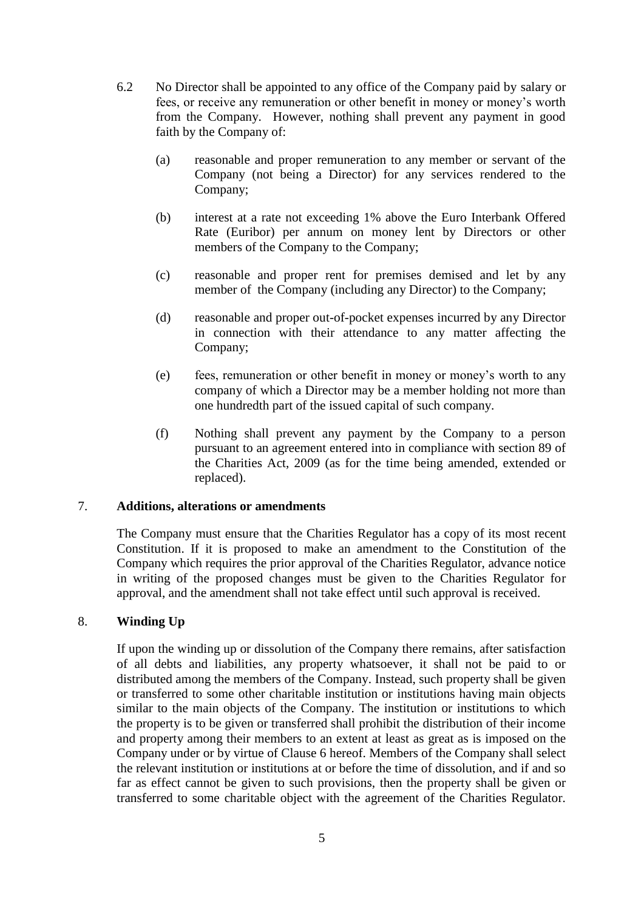- 6.2 No Director shall be appointed to any office of the Company paid by salary or fees, or receive any remuneration or other benefit in money or money's worth from the Company. However, nothing shall prevent any payment in good faith by the Company of:
	- (a) reasonable and proper remuneration to any member or servant of the Company (not being a Director) for any services rendered to the Company;
	- (b) interest at a rate not exceeding 1% above the Euro Interbank Offered Rate (Euribor) per annum on money lent by Directors or other members of the Company to the Company;
	- (c) reasonable and proper rent for premises demised and let by any member of the Company (including any Director) to the Company;
	- (d) reasonable and proper out-of-pocket expenses incurred by any Director in connection with their attendance to any matter affecting the Company;
	- (e) fees, remuneration or other benefit in money or money's worth to any company of which a Director may be a member holding not more than one hundredth part of the issued capital of such company.
	- (f) Nothing shall prevent any payment by the Company to a person pursuant to an agreement entered into in compliance with section 89 of the Charities Act, 2009 (as for the time being amended, extended or replaced).

## 7. **Additions, alterations or amendments**

The Company must ensure that the Charities Regulator has a copy of its most recent Constitution. If it is proposed to make an amendment to the Constitution of the Company which requires the prior approval of the Charities Regulator, advance notice in writing of the proposed changes must be given to the Charities Regulator for approval, and the amendment shall not take effect until such approval is received.

# 8. **Winding Up**

If upon the winding up or dissolution of the Company there remains, after satisfaction of all debts and liabilities, any property whatsoever, it shall not be paid to or distributed among the members of the Company. Instead, such property shall be given or transferred to some other charitable institution or institutions having main objects similar to the main objects of the Company. The institution or institutions to which the property is to be given or transferred shall prohibit the distribution of their income and property among their members to an extent at least as great as is imposed on the Company under or by virtue of Clause 6 hereof. Members of the Company shall select the relevant institution or institutions at or before the time of dissolution, and if and so far as effect cannot be given to such provisions, then the property shall be given or transferred to some charitable object with the agreement of the Charities Regulator.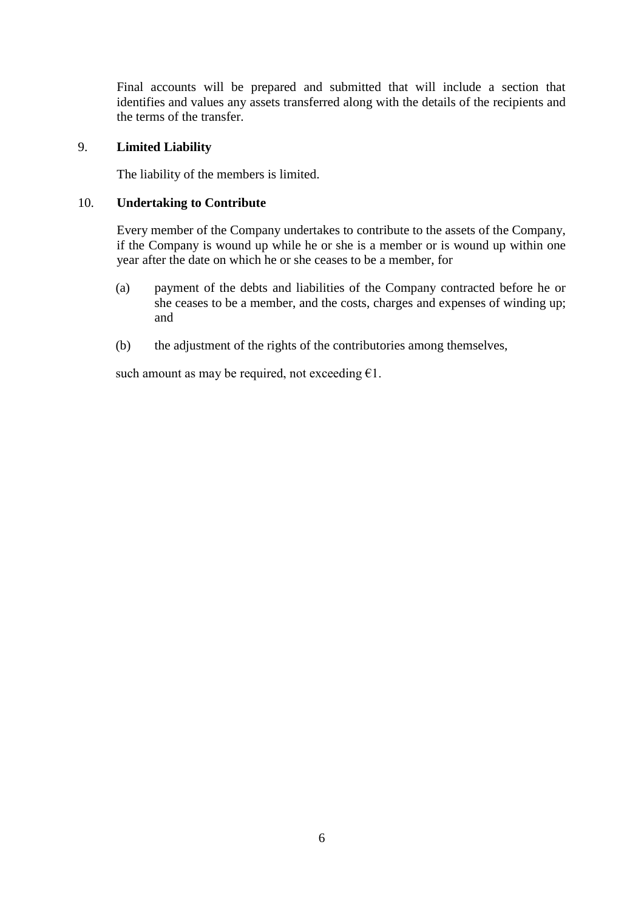Final accounts will be prepared and submitted that will include a section that identifies and values any assets transferred along with the details of the recipients and the terms of the transfer.

### 9. **Limited Liability**

The liability of the members is limited.

### 10. **Undertaking to Contribute**

Every member of the Company undertakes to contribute to the assets of the Company, if the Company is wound up while he or she is a member or is wound up within one year after the date on which he or she ceases to be a member, for

- (a) payment of the debts and liabilities of the Company contracted before he or she ceases to be a member, and the costs, charges and expenses of winding up; and
- (b) the adjustment of the rights of the contributories among themselves,

such amount as may be required, not exceeding  $\epsilon$ 1.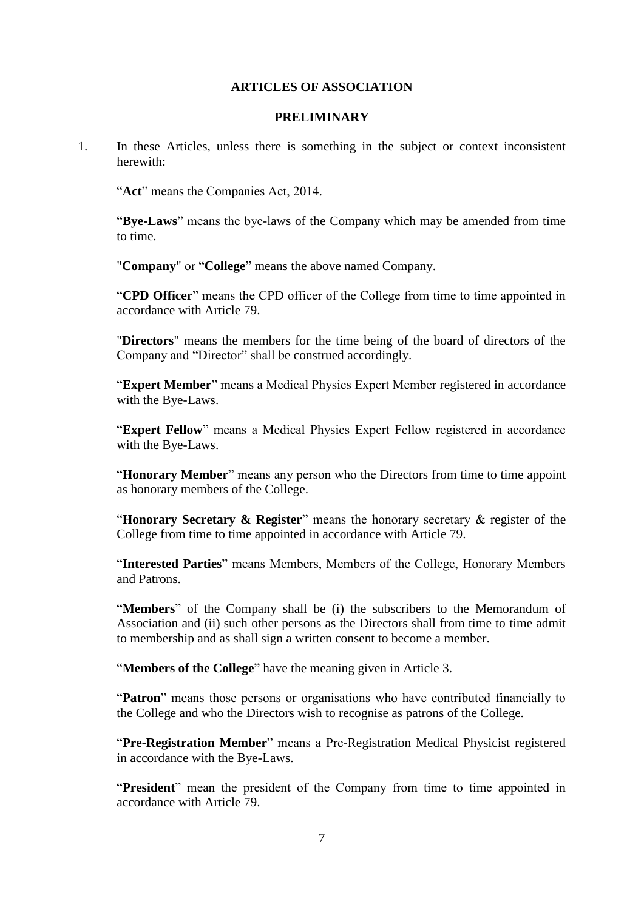#### **ARTICLES OF ASSOCIATION**

## **PRELIMINARY**

1. In these Articles, unless there is something in the subject or context inconsistent herewith:

"**Act**" means the Companies Act, 2014.

"**Bye-Laws**" means the bye-laws of the Company which may be amended from time to time.

"**Company**" or "**College**" means the above named Company.

"**CPD Officer**" means the CPD officer of the College from time to time appointed in accordance with Article 79.

"**Directors**" means the members for the time being of the board of directors of the Company and "Director" shall be construed accordingly.

"**Expert Member**" means a Medical Physics Expert Member registered in accordance with the Bye-Laws.

"**Expert Fellow**" means a Medical Physics Expert Fellow registered in accordance with the Bye-Laws.

"**Honorary Member**" means any person who the Directors from time to time appoint as honorary members of the College.

"**Honorary Secretary & Register**" means the honorary secretary & register of the College from time to time appointed in accordance with Article 79.

"**Interested Parties**" means Members, Members of the College, Honorary Members and Patrons.

"**Members**" of the Company shall be (i) the subscribers to the Memorandum of Association and (ii) such other persons as the Directors shall from time to time admit to membership and as shall sign a written consent to become a member.

"**Members of the College**" have the meaning given in Article 3.

"**Patron**" means those persons or organisations who have contributed financially to the College and who the Directors wish to recognise as patrons of the College.

"**Pre-Registration Member**" means a Pre-Registration Medical Physicist registered in accordance with the Bye-Laws.

"**President**" mean the president of the Company from time to time appointed in accordance with Article 79.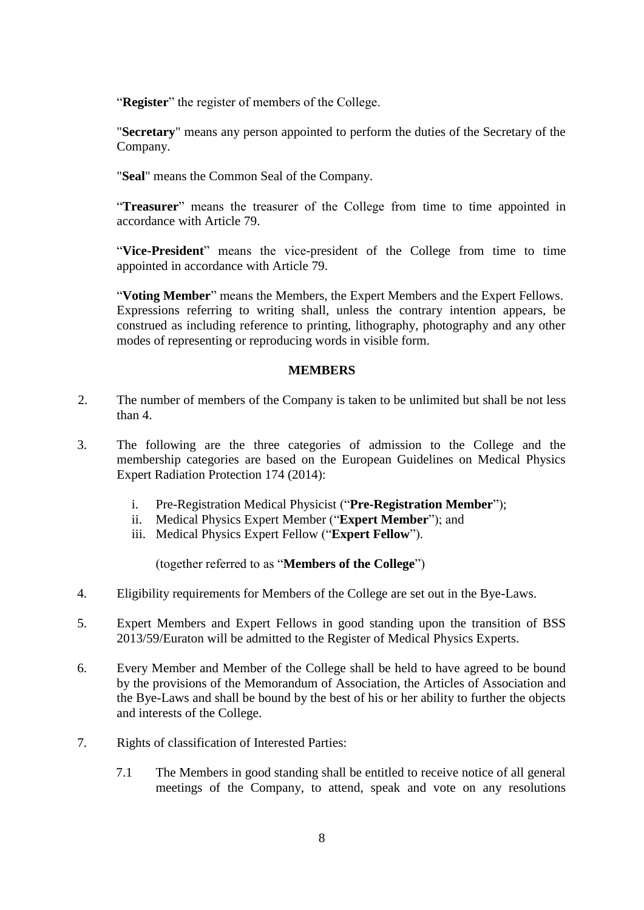"**Register**" the register of members of the College.

"**Secretary**" means any person appointed to perform the duties of the Secretary of the Company.

"**Seal**" means the Common Seal of the Company.

"**Treasurer**" means the treasurer of the College from time to time appointed in accordance with Article 79.

"**Vice-President**" means the vice-president of the College from time to time appointed in accordance with Article 79.

"**Voting Member**" means the Members, the Expert Members and the Expert Fellows. Expressions referring to writing shall, unless the contrary intention appears, be construed as including reference to printing, lithography, photography and any other modes of representing or reproducing words in visible form.

# **MEMBERS**

- 2. The number of members of the Company is taken to be unlimited but shall be not less than 4.
- 3. The following are the three categories of admission to the College and the membership categories are based on the European Guidelines on Medical Physics Expert Radiation Protection 174 (2014):
	- i. Pre-Registration Medical Physicist ("**Pre-Registration Member**");
	- ii. Medical Physics Expert Member ("**Expert Member**"); and
	- iii. Medical Physics Expert Fellow ("**Expert Fellow**").

(together referred to as "**Members of the College**")

- 4. Eligibility requirements for Members of the College are set out in the Bye-Laws.
- 5. Expert Members and Expert Fellows in good standing upon the transition of BSS 2013/59/Euraton will be admitted to the Register of Medical Physics Experts.
- 6. Every Member and Member of the College shall be held to have agreed to be bound by the provisions of the Memorandum of Association, the Articles of Association and the Bye-Laws and shall be bound by the best of his or her ability to further the objects and interests of the College.
- 7. Rights of classification of Interested Parties:
	- 7.1 The Members in good standing shall be entitled to receive notice of all general meetings of the Company, to attend, speak and vote on any resolutions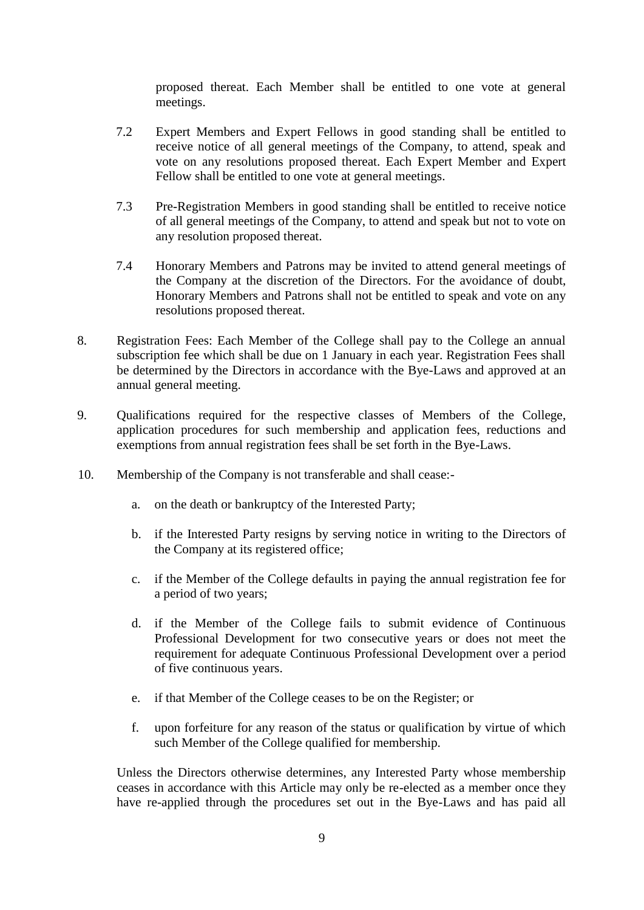proposed thereat. Each Member shall be entitled to one vote at general meetings.

- 7.2 Expert Members and Expert Fellows in good standing shall be entitled to receive notice of all general meetings of the Company, to attend, speak and vote on any resolutions proposed thereat. Each Expert Member and Expert Fellow shall be entitled to one vote at general meetings.
- 7.3 Pre-Registration Members in good standing shall be entitled to receive notice of all general meetings of the Company, to attend and speak but not to vote on any resolution proposed thereat.
- 7.4 Honorary Members and Patrons may be invited to attend general meetings of the Company at the discretion of the Directors. For the avoidance of doubt, Honorary Members and Patrons shall not be entitled to speak and vote on any resolutions proposed thereat.
- 8. Registration Fees: Each Member of the College shall pay to the College an annual subscription fee which shall be due on 1 January in each year. Registration Fees shall be determined by the Directors in accordance with the Bye-Laws and approved at an annual general meeting.
- 9. Qualifications required for the respective classes of Members of the College, application procedures for such membership and application fees, reductions and exemptions from annual registration fees shall be set forth in the Bye-Laws.
- 10. Membership of the Company is not transferable and shall cease:
	- a. on the death or bankruptcy of the Interested Party;
	- b. if the Interested Party resigns by serving notice in writing to the Directors of the Company at its registered office;
	- c. if the Member of the College defaults in paying the annual registration fee for a period of two years;
	- d. if the Member of the College fails to submit evidence of Continuous Professional Development for two consecutive years or does not meet the requirement for adequate Continuous Professional Development over a period of five continuous years.
	- e. if that Member of the College ceases to be on the Register; or
	- f. upon forfeiture for any reason of the status or qualification by virtue of which such Member of the College qualified for membership.

Unless the Directors otherwise determines, any Interested Party whose membership ceases in accordance with this Article may only be re-elected as a member once they have re-applied through the procedures set out in the Bye-Laws and has paid all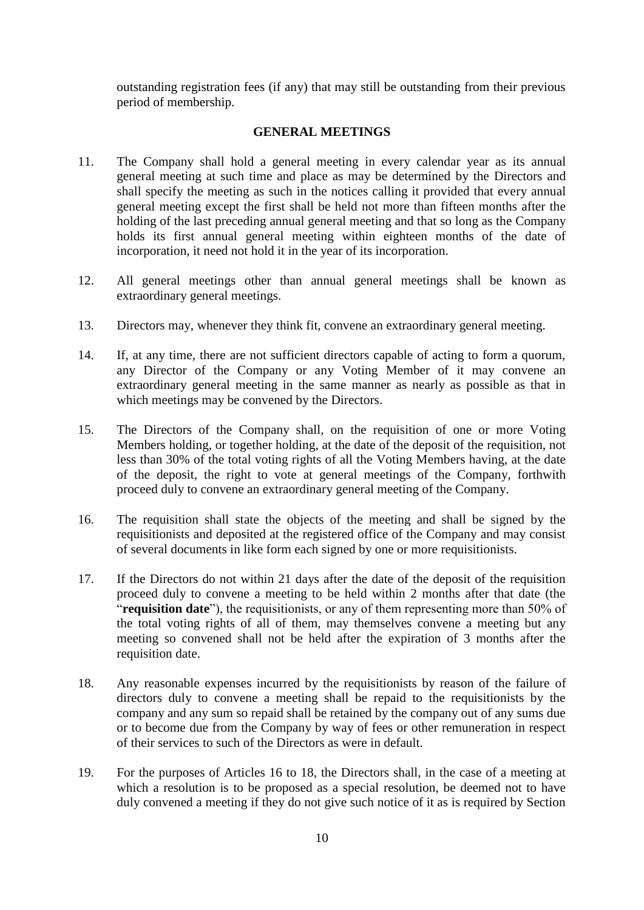outstanding registration fees (if any) that may still be outstanding from their previous period of membership.

### **GENERAL MEETINGS**

- 11. The Company shall hold a general meeting in every calendar year as its annual general meeting at such time and place as may be determined by the Directors and shall specify the meeting as such in the notices calling it provided that every annual general meeting except the first shall be held not more than fifteen months after the holding of the last preceding annual general meeting and that so long as the Company holds its first annual general meeting within eighteen months of the date of incorporation, it need not hold it in the year of its incorporation.
- 12. All general meetings other than annual general meetings shall be known as extraordinary general meetings.
- 13. Directors may, whenever they think fit, convene an extraordinary general meeting.
- 14. If, at any time, there are not sufficient directors capable of acting to form a quorum, any Director of the Company or any Voting Member of it may convene an extraordinary general meeting in the same manner as nearly as possible as that in which meetings may be convened by the Directors.
- 15. The Directors of the Company shall, on the requisition of one or more Voting Members holding, or together holding, at the date of the deposit of the requisition, not less than 30% of the total voting rights of all the Voting Members having, at the date of the deposit, the right to vote at general meetings of the Company, forthwith proceed duly to convene an extraordinary general meeting of the Company.
- 16. The requisition shall state the objects of the meeting and shall be signed by the requisitionists and deposited at the registered office of the Company and may consist of several documents in like form each signed by one or more requisitionists.
- 17. If the Directors do not within 21 days after the date of the deposit of the requisition proceed duly to convene a meeting to be held within 2 months after that date (the "**requisition date**"), the requisitionists, or any of them representing more than 50% of the total voting rights of all of them, may themselves convene a meeting but any meeting so convened shall not be held after the expiration of 3 months after the requisition date.
- 18. Any reasonable expenses incurred by the requisitionists by reason of the failure of directors duly to convene a meeting shall be repaid to the requisitionists by the company and any sum so repaid shall be retained by the company out of any sums due or to become due from the Company by way of fees or other remuneration in respect of their services to such of the Directors as were in default.
- 19. For the purposes of Articles 16 to 18, the Directors shall, in the case of a meeting at which a resolution is to be proposed as a special resolution, be deemed not to have duly convened a meeting if they do not give such notice of it as is required by Section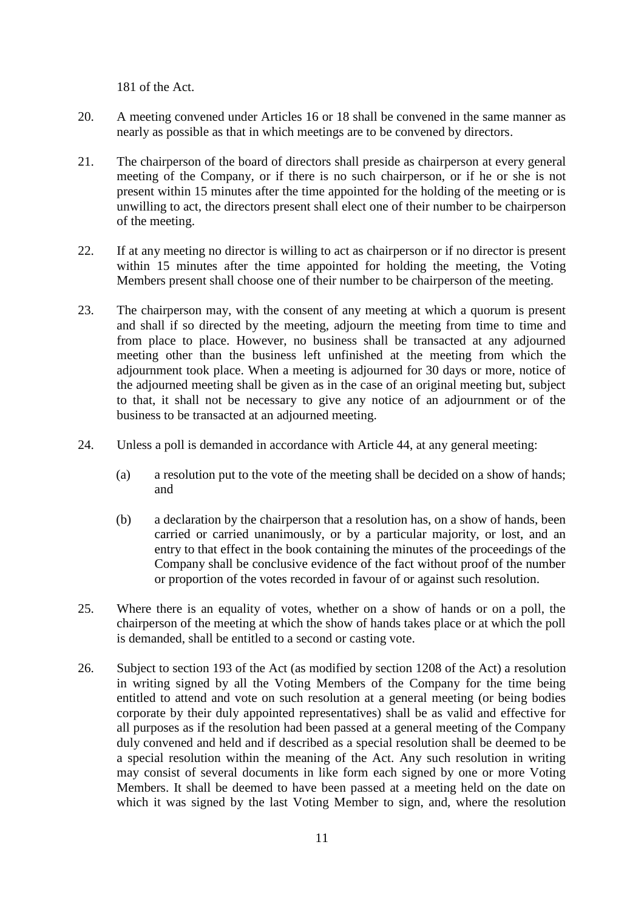181 of the Act.

- 20. A meeting convened under Articles 16 or 18 shall be convened in the same manner as nearly as possible as that in which meetings are to be convened by directors.
- 21. The chairperson of the board of directors shall preside as chairperson at every general meeting of the Company, or if there is no such chairperson, or if he or she is not present within 15 minutes after the time appointed for the holding of the meeting or is unwilling to act, the directors present shall elect one of their number to be chairperson of the meeting.
- 22. If at any meeting no director is willing to act as chairperson or if no director is present within 15 minutes after the time appointed for holding the meeting, the Voting Members present shall choose one of their number to be chairperson of the meeting.
- 23. The chairperson may, with the consent of any meeting at which a quorum is present and shall if so directed by the meeting, adjourn the meeting from time to time and from place to place. However, no business shall be transacted at any adjourned meeting other than the business left unfinished at the meeting from which the adjournment took place. When a meeting is adjourned for 30 days or more, notice of the adjourned meeting shall be given as in the case of an original meeting but, subject to that, it shall not be necessary to give any notice of an adjournment or of the business to be transacted at an adjourned meeting.
- 24. Unless a poll is demanded in accordance with Article 44, at any general meeting:
	- (a) a resolution put to the vote of the meeting shall be decided on a show of hands; and
	- (b) a declaration by the chairperson that a resolution has, on a show of hands, been carried or carried unanimously, or by a particular majority, or lost, and an entry to that effect in the book containing the minutes of the proceedings of the Company shall be conclusive evidence of the fact without proof of the number or proportion of the votes recorded in favour of or against such resolution.
- 25. Where there is an equality of votes, whether on a show of hands or on a poll, the chairperson of the meeting at which the show of hands takes place or at which the poll is demanded, shall be entitled to a second or casting vote.
- 26. Subject to section 193 of the Act (as modified by section 1208 of the Act) a resolution in writing signed by all the Voting Members of the Company for the time being entitled to attend and vote on such resolution at a general meeting (or being bodies corporate by their duly appointed representatives) shall be as valid and effective for all purposes as if the resolution had been passed at a general meeting of the Company duly convened and held and if described as a special resolution shall be deemed to be a special resolution within the meaning of the Act. Any such resolution in writing may consist of several documents in like form each signed by one or more Voting Members. It shall be deemed to have been passed at a meeting held on the date on which it was signed by the last Voting Member to sign, and, where the resolution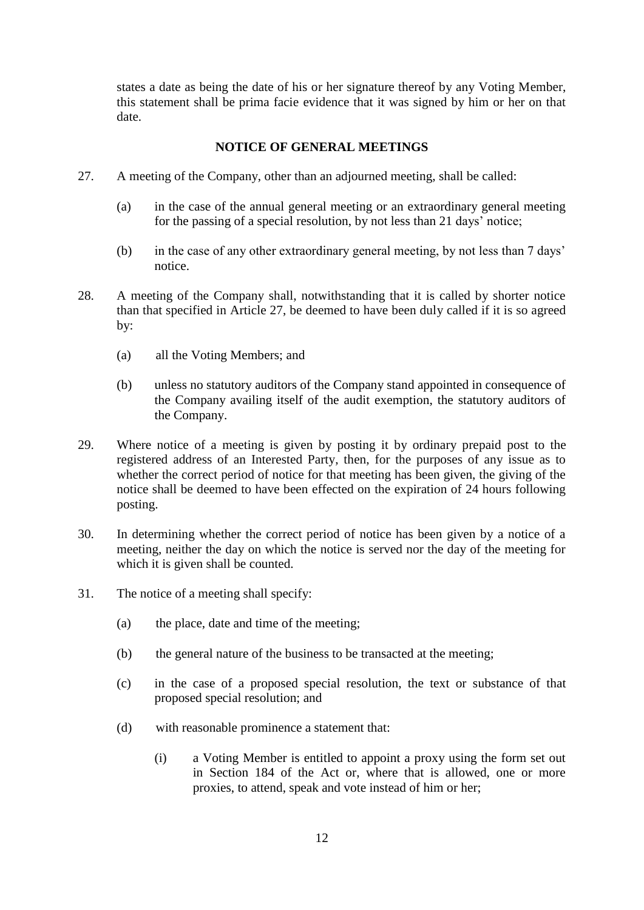states a date as being the date of his or her signature thereof by any Voting Member, this statement shall be prima facie evidence that it was signed by him or her on that date.

## **NOTICE OF GENERAL MEETINGS**

- 27. A meeting of the Company, other than an adjourned meeting, shall be called:
	- (a) in the case of the annual general meeting or an extraordinary general meeting for the passing of a special resolution, by not less than 21 days' notice;
	- (b) in the case of any other extraordinary general meeting, by not less than 7 days' notice.
- 28. A meeting of the Company shall, notwithstanding that it is called by shorter notice than that specified in Article 27, be deemed to have been duly called if it is so agreed by:
	- (a) all the Voting Members; and
	- (b) unless no statutory auditors of the Company stand appointed in consequence of the Company availing itself of the audit exemption, the statutory auditors of the Company.
- 29. Where notice of a meeting is given by posting it by ordinary prepaid post to the registered address of an Interested Party, then, for the purposes of any issue as to whether the correct period of notice for that meeting has been given, the giving of the notice shall be deemed to have been effected on the expiration of 24 hours following posting.
- 30. In determining whether the correct period of notice has been given by a notice of a meeting, neither the day on which the notice is served nor the day of the meeting for which it is given shall be counted.
- 31. The notice of a meeting shall specify:
	- (a) the place, date and time of the meeting;
	- (b) the general nature of the business to be transacted at the meeting;
	- (c) in the case of a proposed special resolution, the text or substance of that proposed special resolution; and
	- (d) with reasonable prominence a statement that:
		- (i) a Voting Member is entitled to appoint a proxy using the form set out in Section 184 of the Act or, where that is allowed, one or more proxies, to attend, speak and vote instead of him or her;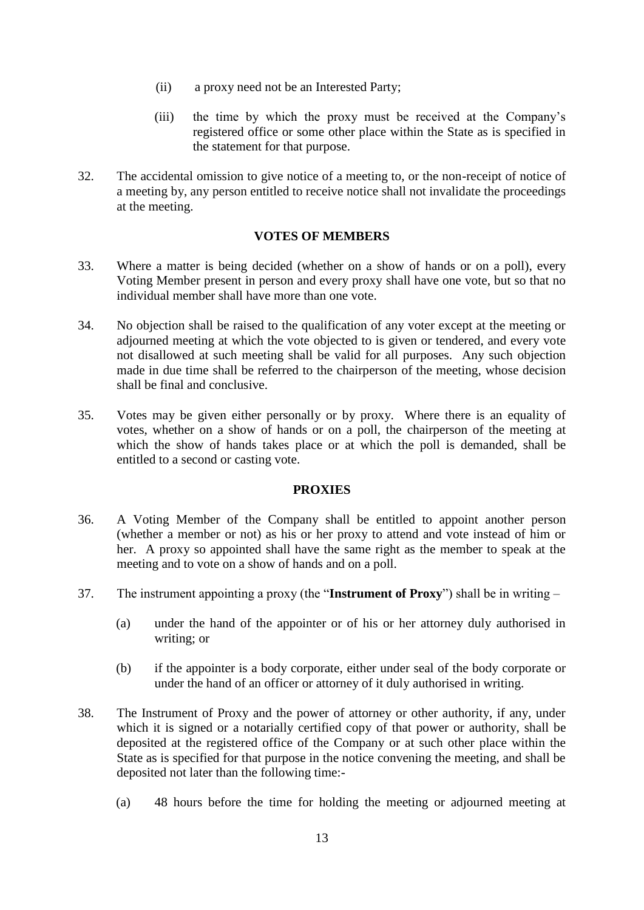- (ii) a proxy need not be an Interested Party;
- (iii) the time by which the proxy must be received at the Company's registered office or some other place within the State as is specified in the statement for that purpose.
- 32. The accidental omission to give notice of a meeting to, or the non-receipt of notice of a meeting by, any person entitled to receive notice shall not invalidate the proceedings at the meeting.

### **VOTES OF MEMBERS**

- 33. Where a matter is being decided (whether on a show of hands or on a poll), every Voting Member present in person and every proxy shall have one vote, but so that no individual member shall have more than one vote.
- 34. No objection shall be raised to the qualification of any voter except at the meeting or adjourned meeting at which the vote objected to is given or tendered, and every vote not disallowed at such meeting shall be valid for all purposes. Any such objection made in due time shall be referred to the chairperson of the meeting, whose decision shall be final and conclusive.
- 35. Votes may be given either personally or by proxy. Where there is an equality of votes, whether on a show of hands or on a poll, the chairperson of the meeting at which the show of hands takes place or at which the poll is demanded, shall be entitled to a second or casting vote.

#### **PROXIES**

- 36. A Voting Member of the Company shall be entitled to appoint another person (whether a member or not) as his or her proxy to attend and vote instead of him or her. A proxy so appointed shall have the same right as the member to speak at the meeting and to vote on a show of hands and on a poll.
- 37. The instrument appointing a proxy (the "**Instrument of Proxy**") shall be in writing
	- (a) under the hand of the appointer or of his or her attorney duly authorised in writing; or
	- (b) if the appointer is a body corporate, either under seal of the body corporate or under the hand of an officer or attorney of it duly authorised in writing.
- 38. The Instrument of Proxy and the power of attorney or other authority, if any, under which it is signed or a notarially certified copy of that power or authority, shall be deposited at the registered office of the Company or at such other place within the State as is specified for that purpose in the notice convening the meeting, and shall be deposited not later than the following time:-
	- (a) 48 hours before the time for holding the meeting or adjourned meeting at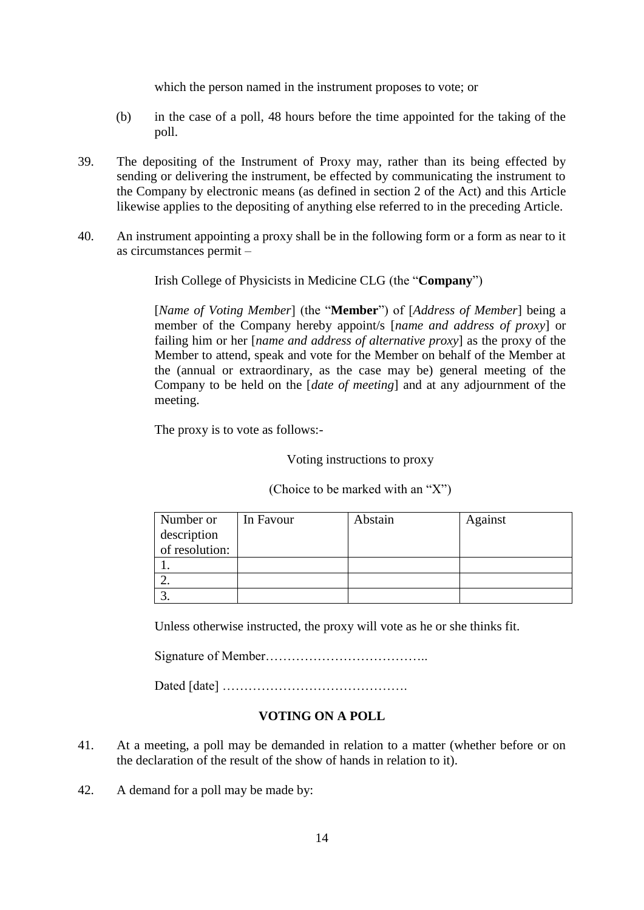which the person named in the instrument proposes to vote; or

- (b) in the case of a poll, 48 hours before the time appointed for the taking of the poll.
- 39. The depositing of the Instrument of Proxy may, rather than its being effected by sending or delivering the instrument, be effected by communicating the instrument to the Company by electronic means (as defined in section 2 of the Act) and this Article likewise applies to the depositing of anything else referred to in the preceding Article.
- 40. An instrument appointing a proxy shall be in the following form or a form as near to it as circumstances permit –

Irish College of Physicists in Medicine CLG (the "**Company**")

[*Name of Voting Member*] (the "**Member**") of [*Address of Member*] being a member of the Company hereby appoint/s [*name and address of proxy*] or failing him or her [*name and address of alternative proxy*] as the proxy of the Member to attend, speak and vote for the Member on behalf of the Member at the (annual or extraordinary, as the case may be) general meeting of the Company to be held on the [*date of meeting*] and at any adjournment of the meeting.

The proxy is to vote as follows:-

Voting instructions to proxy

| Number or      | In Favour | Abstain | Against |
|----------------|-----------|---------|---------|
| description    |           |         |         |
| of resolution: |           |         |         |
|                |           |         |         |
|                |           |         |         |
|                |           |         |         |

(Choice to be marked with an "X")

Unless otherwise instructed, the proxy will vote as he or she thinks fit.

Signature of Member………………………………..

Dated [date] …………………………………….

## **VOTING ON A POLL**

- 41. At a meeting, a poll may be demanded in relation to a matter (whether before or on the declaration of the result of the show of hands in relation to it).
- 42. A demand for a poll may be made by: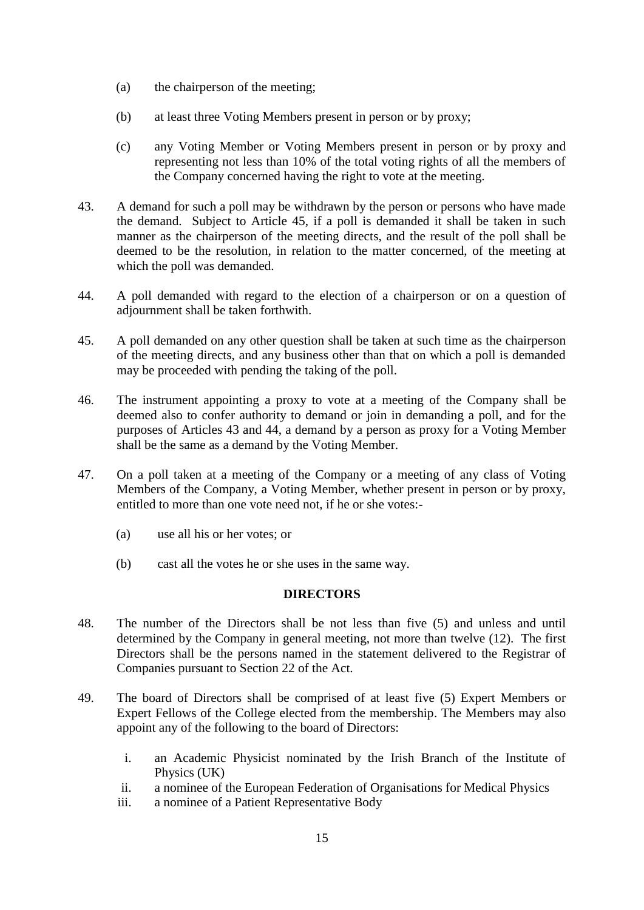- (a) the chairperson of the meeting;
- (b) at least three Voting Members present in person or by proxy;
- (c) any Voting Member or Voting Members present in person or by proxy and representing not less than 10% of the total voting rights of all the members of the Company concerned having the right to vote at the meeting.
- 43. A demand for such a poll may be withdrawn by the person or persons who have made the demand. Subject to Article 45, if a poll is demanded it shall be taken in such manner as the chairperson of the meeting directs, and the result of the poll shall be deemed to be the resolution, in relation to the matter concerned, of the meeting at which the poll was demanded.
- 44. A poll demanded with regard to the election of a chairperson or on a question of adjournment shall be taken forthwith.
- 45. A poll demanded on any other question shall be taken at such time as the chairperson of the meeting directs, and any business other than that on which a poll is demanded may be proceeded with pending the taking of the poll.
- 46. The instrument appointing a proxy to vote at a meeting of the Company shall be deemed also to confer authority to demand or join in demanding a poll, and for the purposes of Articles 43 and 44, a demand by a person as proxy for a Voting Member shall be the same as a demand by the Voting Member.
- 47. On a poll taken at a meeting of the Company or a meeting of any class of Voting Members of the Company, a Voting Member, whether present in person or by proxy, entitled to more than one vote need not, if he or she votes:-
	- (a) use all his or her votes; or
	- (b) cast all the votes he or she uses in the same way.

# **DIRECTORS**

- 48. The number of the Directors shall be not less than five (5) and unless and until determined by the Company in general meeting, not more than twelve (12). The first Directors shall be the persons named in the statement delivered to the Registrar of Companies pursuant to Section 22 of the Act.
- 49. The board of Directors shall be comprised of at least five (5) Expert Members or Expert Fellows of the College elected from the membership. The Members may also appoint any of the following to the board of Directors:
	- i. an Academic Physicist nominated by the Irish Branch of the Institute of Physics (UK)
	- ii. a nominee of the European Federation of Organisations for Medical Physics
	- iii. a nominee of a Patient Representative Body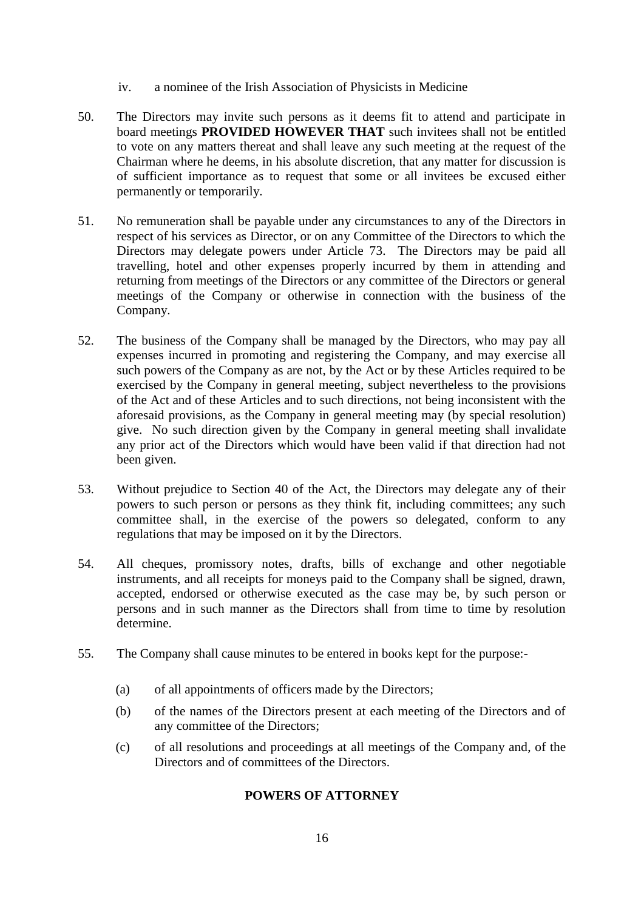- iv. a nominee of the Irish Association of Physicists in Medicine
- 50. The Directors may invite such persons as it deems fit to attend and participate in board meetings **PROVIDED HOWEVER THAT** such invitees shall not be entitled to vote on any matters thereat and shall leave any such meeting at the request of the Chairman where he deems, in his absolute discretion, that any matter for discussion is of sufficient importance as to request that some or all invitees be excused either permanently or temporarily.
- 51. No remuneration shall be payable under any circumstances to any of the Directors in respect of his services as Director, or on any Committee of the Directors to which the Directors may delegate powers under Article 73. The Directors may be paid all travelling, hotel and other expenses properly incurred by them in attending and returning from meetings of the Directors or any committee of the Directors or general meetings of the Company or otherwise in connection with the business of the Company.
- 52. The business of the Company shall be managed by the Directors, who may pay all expenses incurred in promoting and registering the Company, and may exercise all such powers of the Company as are not, by the Act or by these Articles required to be exercised by the Company in general meeting, subject nevertheless to the provisions of the Act and of these Articles and to such directions, not being inconsistent with the aforesaid provisions, as the Company in general meeting may (by special resolution) give. No such direction given by the Company in general meeting shall invalidate any prior act of the Directors which would have been valid if that direction had not been given.
- 53. Without prejudice to Section 40 of the Act, the Directors may delegate any of their powers to such person or persons as they think fit, including committees; any such committee shall, in the exercise of the powers so delegated, conform to any regulations that may be imposed on it by the Directors.
- 54. All cheques, promissory notes, drafts, bills of exchange and other negotiable instruments, and all receipts for moneys paid to the Company shall be signed, drawn, accepted, endorsed or otherwise executed as the case may be, by such person or persons and in such manner as the Directors shall from time to time by resolution determine.
- 55. The Company shall cause minutes to be entered in books kept for the purpose:-
	- (a) of all appointments of officers made by the Directors;
	- (b) of the names of the Directors present at each meeting of the Directors and of any committee of the Directors;
	- (c) of all resolutions and proceedings at all meetings of the Company and, of the Directors and of committees of the Directors.

## **POWERS OF ATTORNEY**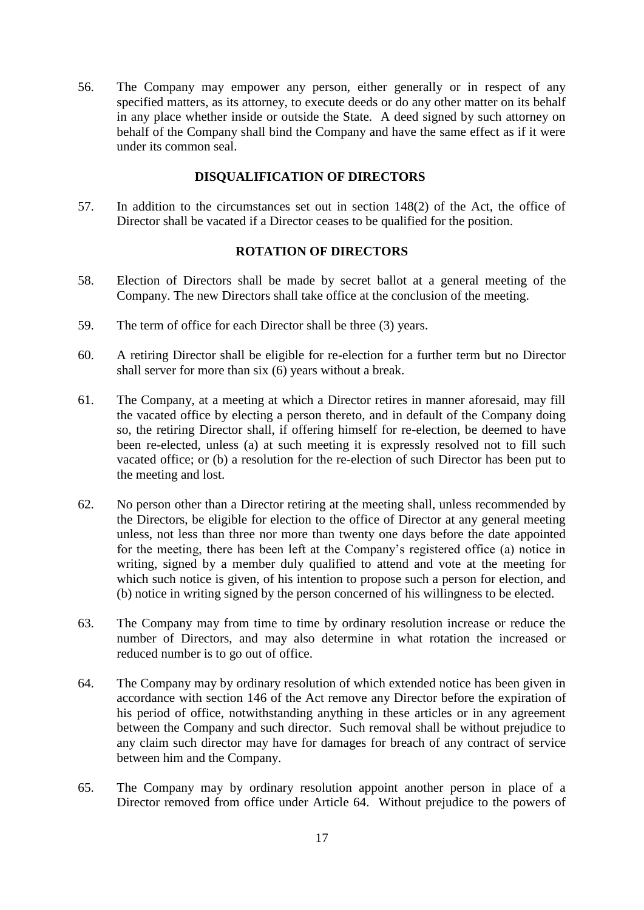56. The Company may empower any person, either generally or in respect of any specified matters, as its attorney, to execute deeds or do any other matter on its behalf in any place whether inside or outside the State. A deed signed by such attorney on behalf of the Company shall bind the Company and have the same effect as if it were under its common seal.

## **DISQUALIFICATION OF DIRECTORS**

57. In addition to the circumstances set out in section 148(2) of the Act, the office of Director shall be vacated if a Director ceases to be qualified for the position.

#### **ROTATION OF DIRECTORS**

- 58. Election of Directors shall be made by secret ballot at a general meeting of the Company. The new Directors shall take office at the conclusion of the meeting.
- 59. The term of office for each Director shall be three (3) years.
- 60. A retiring Director shall be eligible for re-election for a further term but no Director shall server for more than six (6) years without a break.
- 61. The Company, at a meeting at which a Director retires in manner aforesaid, may fill the vacated office by electing a person thereto, and in default of the Company doing so, the retiring Director shall, if offering himself for re-election, be deemed to have been re-elected, unless (a) at such meeting it is expressly resolved not to fill such vacated office; or (b) a resolution for the re-election of such Director has been put to the meeting and lost.
- 62. No person other than a Director retiring at the meeting shall, unless recommended by the Directors, be eligible for election to the office of Director at any general meeting unless, not less than three nor more than twenty one days before the date appointed for the meeting, there has been left at the Company's registered office (a) notice in writing, signed by a member duly qualified to attend and vote at the meeting for which such notice is given, of his intention to propose such a person for election, and (b) notice in writing signed by the person concerned of his willingness to be elected.
- 63. The Company may from time to time by ordinary resolution increase or reduce the number of Directors, and may also determine in what rotation the increased or reduced number is to go out of office.
- 64. The Company may by ordinary resolution of which extended notice has been given in accordance with section 146 of the Act remove any Director before the expiration of his period of office, notwithstanding anything in these articles or in any agreement between the Company and such director. Such removal shall be without prejudice to any claim such director may have for damages for breach of any contract of service between him and the Company.
- 65. The Company may by ordinary resolution appoint another person in place of a Director removed from office under Article 64. Without prejudice to the powers of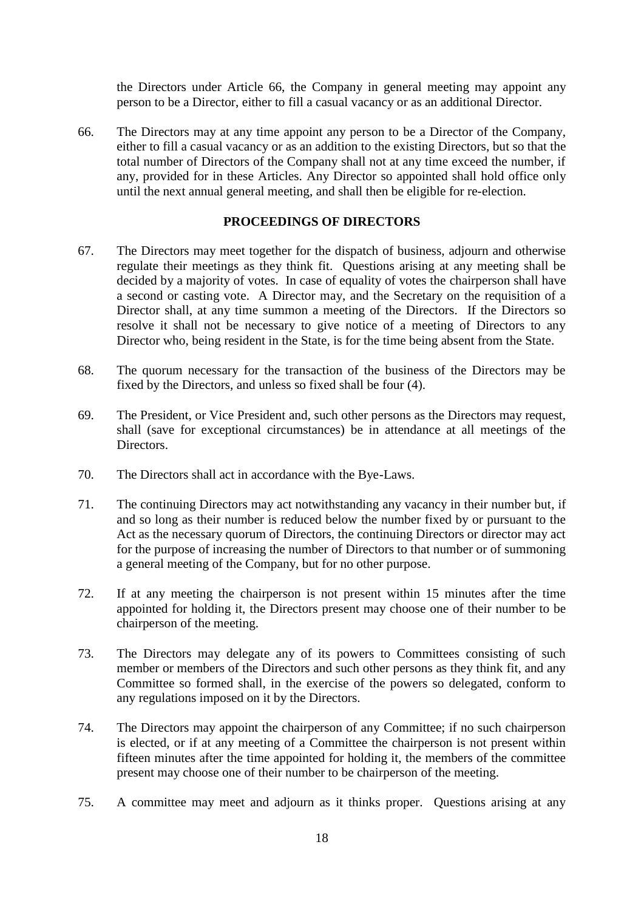the Directors under Article 66, the Company in general meeting may appoint any person to be a Director, either to fill a casual vacancy or as an additional Director.

66. The Directors may at any time appoint any person to be a Director of the Company, either to fill a casual vacancy or as an addition to the existing Directors, but so that the total number of Directors of the Company shall not at any time exceed the number, if any, provided for in these Articles. Any Director so appointed shall hold office only until the next annual general meeting, and shall then be eligible for re-election.

### **PROCEEDINGS OF DIRECTORS**

- 67. The Directors may meet together for the dispatch of business, adjourn and otherwise regulate their meetings as they think fit. Questions arising at any meeting shall be decided by a majority of votes. In case of equality of votes the chairperson shall have a second or casting vote. A Director may, and the Secretary on the requisition of a Director shall, at any time summon a meeting of the Directors. If the Directors so resolve it shall not be necessary to give notice of a meeting of Directors to any Director who, being resident in the State, is for the time being absent from the State.
- 68. The quorum necessary for the transaction of the business of the Directors may be fixed by the Directors, and unless so fixed shall be four (4).
- 69. The President, or Vice President and, such other persons as the Directors may request, shall (save for exceptional circumstances) be in attendance at all meetings of the Directors.
- 70. The Directors shall act in accordance with the Bye-Laws.
- 71. The continuing Directors may act notwithstanding any vacancy in their number but, if and so long as their number is reduced below the number fixed by or pursuant to the Act as the necessary quorum of Directors, the continuing Directors or director may act for the purpose of increasing the number of Directors to that number or of summoning a general meeting of the Company, but for no other purpose.
- 72. If at any meeting the chairperson is not present within 15 minutes after the time appointed for holding it, the Directors present may choose one of their number to be chairperson of the meeting.
- 73. The Directors may delegate any of its powers to Committees consisting of such member or members of the Directors and such other persons as they think fit, and any Committee so formed shall, in the exercise of the powers so delegated, conform to any regulations imposed on it by the Directors.
- 74. The Directors may appoint the chairperson of any Committee; if no such chairperson is elected, or if at any meeting of a Committee the chairperson is not present within fifteen minutes after the time appointed for holding it, the members of the committee present may choose one of their number to be chairperson of the meeting.
- 75. A committee may meet and adjourn as it thinks proper. Questions arising at any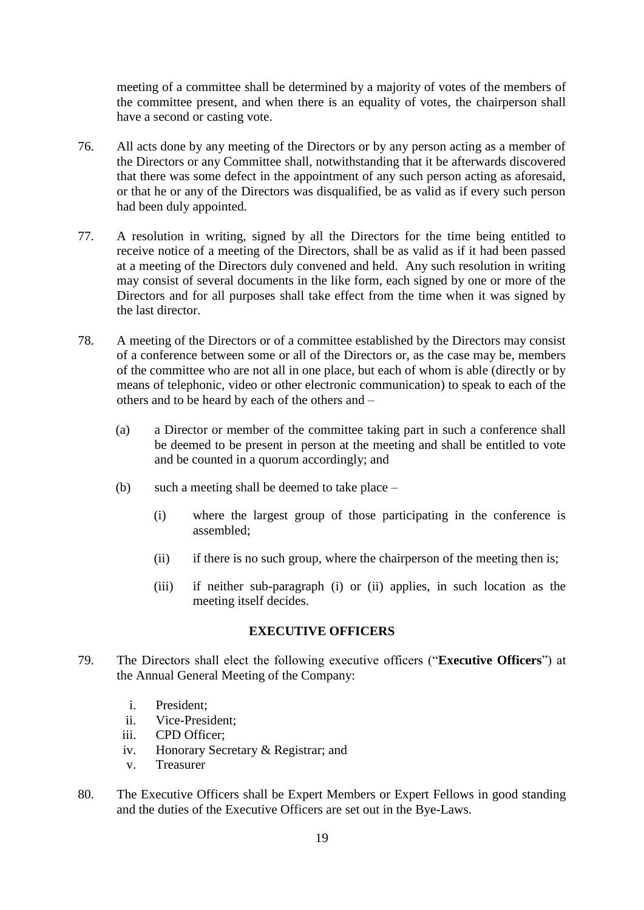meeting of a committee shall be determined by a majority of votes of the members of the committee present, and when there is an equality of votes, the chairperson shall have a second or casting vote.

- 76. All acts done by any meeting of the Directors or by any person acting as a member of the Directors or any Committee shall, notwithstanding that it be afterwards discovered that there was some defect in the appointment of any such person acting as aforesaid, or that he or any of the Directors was disqualified, be as valid as if every such person had been duly appointed.
- 77. A resolution in writing, signed by all the Directors for the time being entitled to receive notice of a meeting of the Directors, shall be as valid as if it had been passed at a meeting of the Directors duly convened and held. Any such resolution in writing may consist of several documents in the like form, each signed by one or more of the Directors and for all purposes shall take effect from the time when it was signed by the last director.
- 78. A meeting of the Directors or of a committee established by the Directors may consist of a conference between some or all of the Directors or, as the case may be, members of the committee who are not all in one place, but each of whom is able (directly or by means of telephonic, video or other electronic communication) to speak to each of the others and to be heard by each of the others and –
	- (a) a Director or member of the committee taking part in such a conference shall be deemed to be present in person at the meeting and shall be entitled to vote and be counted in a quorum accordingly; and
	- (b) such a meeting shall be deemed to take place
		- (i) where the largest group of those participating in the conference is assembled;
		- (ii) if there is no such group, where the chairperson of the meeting then is;
		- (iii) if neither sub-paragraph (i) or (ii) applies, in such location as the meeting itself decides.

#### **EXECUTIVE OFFICERS**

- 79. The Directors shall elect the following executive officers ("**Executive Officers**") at the Annual General Meeting of the Company:
	- i. President;
	- ii. Vice-President;
	- iii. CPD Officer;
	- iv. Honorary Secretary & Registrar; and
	- v. Treasurer
- 80. The Executive Officers shall be Expert Members or Expert Fellows in good standing and the duties of the Executive Officers are set out in the Bye-Laws.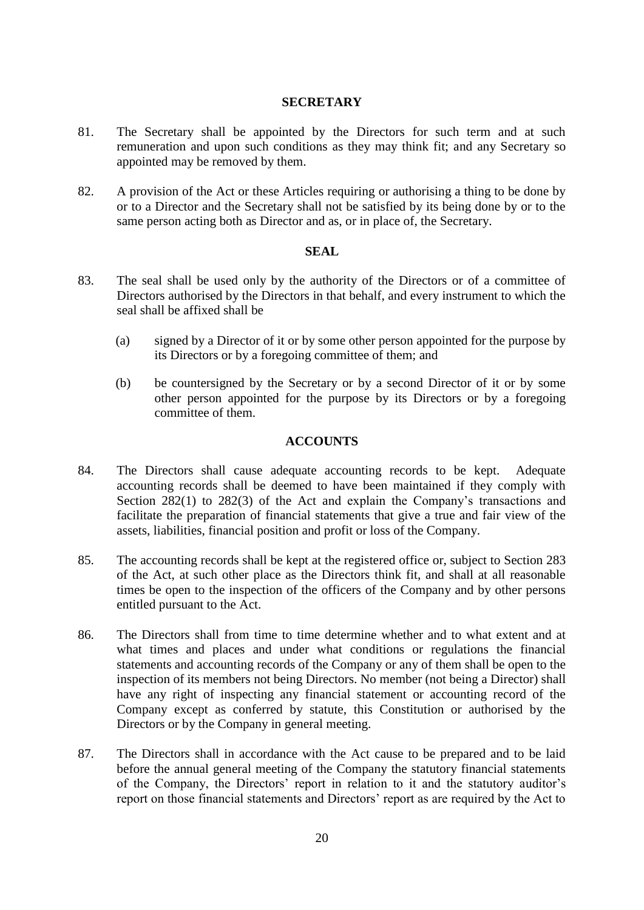## **SECRETARY**

- 81. The Secretary shall be appointed by the Directors for such term and at such remuneration and upon such conditions as they may think fit; and any Secretary so appointed may be removed by them.
- 82. A provision of the Act or these Articles requiring or authorising a thing to be done by or to a Director and the Secretary shall not be satisfied by its being done by or to the same person acting both as Director and as, or in place of, the Secretary.

### **SEAL**

- 83. The seal shall be used only by the authority of the Directors or of a committee of Directors authorised by the Directors in that behalf, and every instrument to which the seal shall be affixed shall be
	- (a) signed by a Director of it or by some other person appointed for the purpose by its Directors or by a foregoing committee of them; and
	- (b) be countersigned by the Secretary or by a second Director of it or by some other person appointed for the purpose by its Directors or by a foregoing committee of them.

## **ACCOUNTS**

- 84. The Directors shall cause adequate accounting records to be kept. Adequate accounting records shall be deemed to have been maintained if they comply with Section 282(1) to 282(3) of the Act and explain the Company's transactions and facilitate the preparation of financial statements that give a true and fair view of the assets, liabilities, financial position and profit or loss of the Company.
- 85. The accounting records shall be kept at the registered office or, subject to Section 283 of the Act, at such other place as the Directors think fit, and shall at all reasonable times be open to the inspection of the officers of the Company and by other persons entitled pursuant to the Act.
- 86. The Directors shall from time to time determine whether and to what extent and at what times and places and under what conditions or regulations the financial statements and accounting records of the Company or any of them shall be open to the inspection of its members not being Directors. No member (not being a Director) shall have any right of inspecting any financial statement or accounting record of the Company except as conferred by statute, this Constitution or authorised by the Directors or by the Company in general meeting.
- 87. The Directors shall in accordance with the Act cause to be prepared and to be laid before the annual general meeting of the Company the statutory financial statements of the Company, the Directors' report in relation to it and the statutory auditor's report on those financial statements and Directors' report as are required by the Act to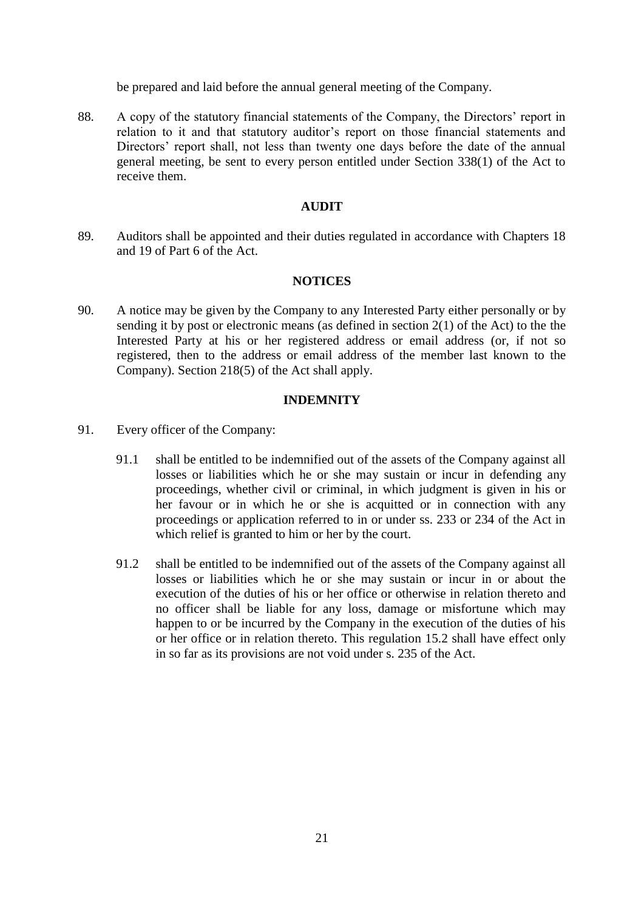be prepared and laid before the annual general meeting of the Company.

88. A copy of the statutory financial statements of the Company, the Directors' report in relation to it and that statutory auditor's report on those financial statements and Directors' report shall, not less than twenty one days before the date of the annual general meeting, be sent to every person entitled under Section 338(1) of the Act to receive them.

## **AUDIT**

89. Auditors shall be appointed and their duties regulated in accordance with Chapters 18 and 19 of Part 6 of the Act.

### **NOTICES**

90. A notice may be given by the Company to any Interested Party either personally or by sending it by post or electronic means (as defined in section 2(1) of the Act) to the the Interested Party at his or her registered address or email address (or, if not so registered, then to the address or email address of the member last known to the Company). Section 218(5) of the Act shall apply.

### **INDEMNITY**

- 91. Every officer of the Company:
	- 91.1 shall be entitled to be indemnified out of the assets of the Company against all losses or liabilities which he or she may sustain or incur in defending any proceedings, whether civil or criminal, in which judgment is given in his or her favour or in which he or she is acquitted or in connection with any proceedings or application referred to in or under ss. 233 or 234 of the Act in which relief is granted to him or her by the court.
	- 91.2 shall be entitled to be indemnified out of the assets of the Company against all losses or liabilities which he or she may sustain or incur in or about the execution of the duties of his or her office or otherwise in relation thereto and no officer shall be liable for any loss, damage or misfortune which may happen to or be incurred by the Company in the execution of the duties of his or her office or in relation thereto. This regulation 15.2 shall have effect only in so far as its provisions are not void under s. 235 of the Act.